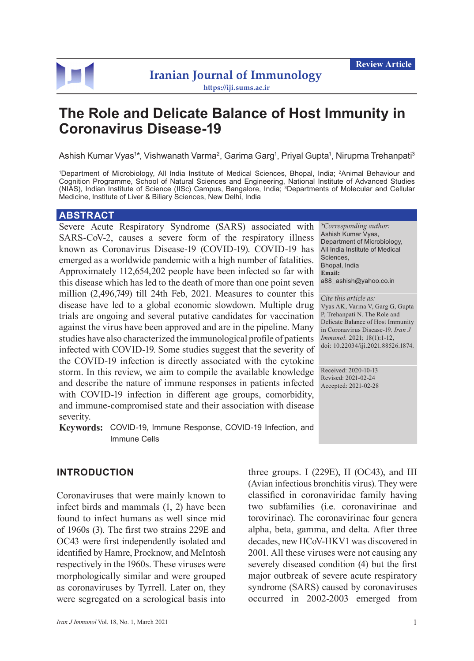

# **The Role and Delicate Balance of Host Immunity in Coronavirus Disease-19**

Ashish Kumar Vyas1\*, Vishwanath Varma<sup>2</sup>, Garima Garg<sup>1</sup>, Priyal Gupta<sup>1</sup>, Nirupma Trehanpati<sup>3</sup>

1 Department of Microbiology, All India Institute of Medical Sciences, Bhopal, India; 2Animal Behaviour and Cognition Programme, School of Natural Sciences and Engineering, National Institute of Advanced Studies (NIAS), Indian Institute of Science (IISc) Campus, Bangalore, India; 3Departments of Molecular and Cellular Medicine, Institute of Liver & Biliary Sciences, New Delhi, India

#### **ABSTRACT**

Severe Acute Respiratory Syndrome (SARS) associated with SARS-CoV-2, causes a severe form of the respiratory illness known as Coronavirus Disease-19 (COVID-19). COVID-19 has emerged as a worldwide pandemic with a high number of fatalities. Approximately 112,654,202 people have been infected so far with this disease which has led to the death of more than one point seven million (2,496,749) till 24th Feb, 2021. Measures to counter this disease have led to a global economic slowdown. Multiple drug trials are ongoing and several putative candidates for vaccination against the virus have been approved and are in the pipeline. Many studies have also characterized the immunological profile of patients infected with COVID-19. Some studies suggest that the severity of the COVID-19 infection is directly associated with the cytokine storm. In this review, we aim to compile the available knowledge and describe the nature of immune responses in patients infected with COVID-19 infection in different age groups, comorbidity, and immune-compromised state and their association with disease severity.

**Keywords:** COVID-19, Immune Response, COVID-19 Infection, and Immune Cells

#### **INTRODUCTION**

Coronaviruses that were mainly known to infect birds and mammals (1, 2) have been found to infect humans as well since mid of 1960s (3). The first two strains 229E and OC43 were first independently isolated and identified by Hamre, Procknow, and McIntosh respectively in the 1960s. These viruses were morphologically similar and were grouped as coronaviruses by Tyrrell. Later on, they were segregated on a serological basis into

*Iran J Immunol* Vol. 18, No. 1, March 2021 1

three groups. I (229E), II (OC43), and III (Avian infectious bronchitis virus). They were classified in coronaviridae family having two subfamilies (i.e. coronavirinae and torovirinae). The coronavirinae four genera alpha, beta, gamma, and delta. After three decades, new HCoV-HKV1 was discovered in 2001. All these viruses were not causing any severely diseased condition (4) but the first major outbreak of severe acute respiratory syndrome (SARS) caused by coronaviruses occurred in 2002-2003 emerged from

*\*Corresponding author:* Ashish Kumar Vyas, Department of Microbiology, All India Institute of Medical Sciences, Bhopal, India **Email:**  a88\_ashish@yahoo.co.in

*Cite this article as:* Vyas AK, Varma V, Garg G, Gupta P, Trehanpati N. The Role and Delicate Balance of Host Immunity in Coronavirus Disease-19. *Iran J Immunol.* 2021; 18(1):1-12, doi: 10.22034/iji.2021.88526.1874.

Received: 2020-10-13 Revised: 2021-02-24 Accepted: 2021-02-28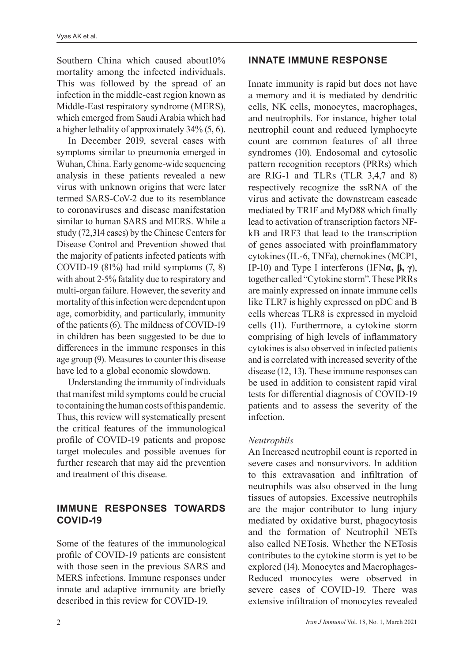Southern China which caused about10% mortality among the infected individuals. This was followed by the spread of an infection in the middle-east region known as Middle-East respiratory syndrome (MERS), which emerged from Saudi Arabia which had a higher lethality of approximately 34% (5, 6).

In December 2019, several cases with symptoms similar to pneumonia emerged in Wuhan, China. Early genome-wide sequencing analysis in these patients revealed a new virus with unknown origins that were later termed SARS-CoV-2 due to its resemblance to coronaviruses and disease manifestation similar to human SARS and MERS. While a study (72,314 cases) by the Chinese Centers for Disease Control and Prevention showed that the majority of patients infected patients with COVID-19 (81%) had mild symptoms (7, 8) with about 2-5% fatality due to respiratory and multi-organ failure. However, the severity and mortality of this infection were dependent upon age, comorbidity, and particularly, immunity of the patients (6). The mildness of COVID-19 in children has been suggested to be due to differences in the immune responses in this age group (9). Measures to counter this disease have led to a global economic slowdown.

Understanding the immunity of individuals that manifest mild symptoms could be crucial to containing the human costs of this pandemic. Thus, this review will systematically present the critical features of the immunological profile of COVID-19 patients and propose target molecules and possible avenues for further research that may aid the prevention and treatment of this disease.

## **IMMUNE RESPONSES TOWARDS COVID-19**

Some of the features of the immunological profile of COVID-19 patients are consistent with those seen in the previous SARS and MERS infections. Immune responses under innate and adaptive immunity are briefly described in this review for COVID-19.

#### **INNATE IMMUNE RESPONSE**

Innate immunity is rapid but does not have a memory and it is mediated by dendritic cells, NK cells, monocytes, macrophages, and neutrophils. For instance, higher total neutrophil count and reduced lymphocyte count are common features of all three syndromes (10). Endosomal and cytosolic pattern recognition receptors (PRRs) which are RIG-1 and TLRs (TLR 3,4,7 and 8) respectively recognize the ssRNA of the virus and activate the downstream cascade mediated by TRIF and MyD88 which finally lead to activation of transcription factors NFkB and IRF3 that lead to the transcription of genes associated with proinflammatory cytokines (IL-6, TNFa), chemokines (MCP1, IP-10) and Type I interferons (IFN**α, β, γ**), together called "Cytokine storm". These PRRs are mainly expressed on innate immune cells like TLR7 is highly expressed on pDC and B cells whereas TLR8 is expressed in myeloid cells (11). Furthermore, a cytokine storm comprising of high levels of inflammatory cytokines is also observed in infected patients and is correlated with increased severity of the disease (12, 13). These immune responses can be used in addition to consistent rapid viral tests for differential diagnosis of COVID-19 patients and to assess the severity of the infection.

#### *Neutrophils*

An Increased neutrophil count is reported in severe cases and nonsurvivors. In addition to this extravasation and infiltration of neutrophils was also observed in the lung tissues of autopsies. Excessive neutrophils are the major contributor to lung injury mediated by oxidative burst, phagocytosis and the formation of Neutrophil NETs also called NETosis. Whether the NETosis contributes to the cytokine storm is yet to be explored (14). Monocytes and Macrophages-Reduced monocytes were observed in severe cases of COVID-19. There was extensive infiltration of monocytes revealed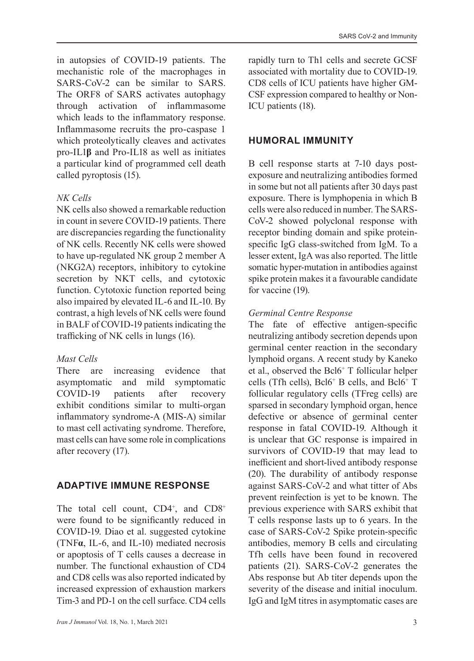in autopsies of COVID-19 patients. The mechanistic role of the macrophages in SARS-CoV-2 can be similar to SARS. The ORF8 of SARS activates autophagy through activation of inflammasome which leads to the inflammatory response. Inflammasome recruits the pro-caspase 1 which proteolytically cleaves and activates pro-IL1**β** and Pro-IL18 as well as initiates a particular kind of programmed cell death called pyroptosis (15).

#### *NK Cells*

NK cells also showed a remarkable reduction in count in severe COVID-19 patients. There are discrepancies regarding the functionality of NK cells. Recently NK cells were showed to have up-regulated NK group 2 member A (NKG2A) receptors, inhibitory to cytokine secretion by NKT cells, and cytotoxic function. Cytotoxic function reported being also impaired by elevated IL-6 and IL-10. By contrast, a high levels of NK cells were found in BALF of COVID-19 patients indicating the trafficking of NK cells in lungs (16).

## *Mast Cells*

There are increasing evidence that asymptomatic and mild symptomatic COVID-19 patients after recovery exhibit conditions similar to multi-organ inflammatory syndrome-A (MIS-A) similar to mast cell activating syndrome. Therefore, mast cells can have some role in complications after recovery (17).

# **ADAPTIVE IMMUNE RESPONSE**

The total cell count,  $CD4^+$ , and  $CD8^+$ were found to be significantly reduced in COVID-19. Diao et al. suggested cytokine (TNF**α**, IL-6, and IL-10) mediated necrosis or apoptosis of T cells causes a decrease in number. The functional exhaustion of CD4 and CD8 cells was also reported indicated by increased expression of exhaustion markers Tim-3 and PD-1 on the cell surface. CD4 cells

rapidly turn to Th1 cells and secrete GCSF associated with mortality due to COVID-19. CD8 cells of ICU patients have higher GM-CSF expression compared to healthy or Non-ICU patients (18).

## **HUMORAL IMMUNITY**

B cell response starts at 7-10 days postexposure and neutralizing antibodies formed in some but not all patients after 30 days past exposure. There is lymphopenia in which B cells were also reduced in number. The SARS-CoV-2 showed polyclonal response with receptor binding domain and spike proteinspecific IgG class-switched from IgM. To a lesser extent, IgA was also reported. The little somatic hyper-mutation in antibodies against spike protein makes it a favourable candidate for vaccine (19).

## *Germinal Centre Response*

The fate of effective antigen-specific neutralizing antibody secretion depends upon germinal center reaction in the secondary lymphoid organs. A recent study by Kaneko et al., observed the Bcl6+ T follicular helper cells (Tfh cells), Bcl6+ B cells, and Bcl6+ T follicular regulatory cells (TFreg cells) are sparsed in secondary lymphoid organ, hence defective or absence of germinal center response in fatal COVID-19. Although it is unclear that GC response is impaired in survivors of COVID-19 that may lead to inefficient and short-lived antibody response (20). The durability of antibody response against SARS-CoV-2 and what titter of Abs prevent reinfection is yet to be known. The previous experience with SARS exhibit that T cells response lasts up to 6 years. In the case of SARS-CoV-2 Spike protein-specific antibodies, memory B cells and circulating Tfh cells have been found in recovered patients (21). SARS-CoV-2 generates the Abs response but Ab titer depends upon the severity of the disease and initial inoculum. IgG and IgM titres in asymptomatic cases are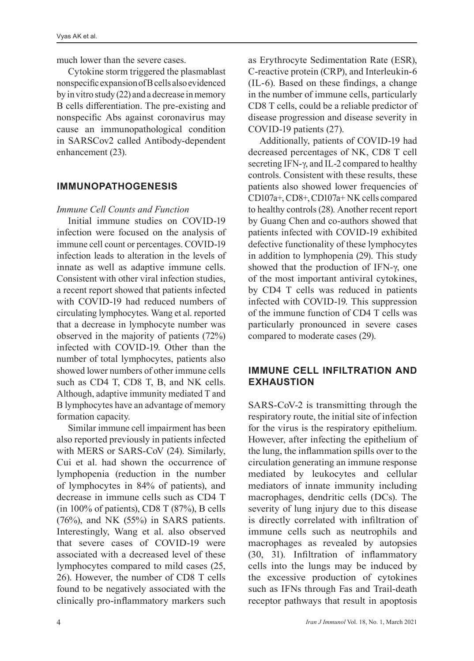much lower than the severe cases.

Cytokine storm triggered the plasmablast nonspecific expansion of B cells also evidenced by in vitro study (22) and a decrease in memory B cells differentiation. The pre-existing and nonspecific Abs against coronavirus may cause an immunopathological condition in SARSCov2 called Antibody-dependent enhancement (23).

## **IMMUNOPATHOGENESIS**

#### *Immune Cell Counts and Function*

Initial immune studies on COVID-19 infection were focused on the analysis of immune cell count or percentages. COVID-19 infection leads to alteration in the levels of innate as well as adaptive immune cells. Consistent with other viral infection studies, a recent report showed that patients infected with COVID-19 had reduced numbers of circulating lymphocytes. Wang et al. reported that a decrease in lymphocyte number was observed in the majority of patients (72%) infected with COVID-19. Other than the number of total lymphocytes, patients also showed lower numbers of other immune cells such as CD4 T, CD8 T, B, and NK cells. Although, adaptive immunity mediated T and B lymphocytes have an advantage of memory formation capacity.

Similar immune cell impairment has been also reported previously in patients infected with MERS or SARS-CoV (24). Similarly, Cui et al. had shown the occurrence of lymphopenia (reduction in the number of lymphocytes in 84% of patients), and decrease in immune cells such as CD4 T (in 100% of patients), CD8 T (87%), B cells (76%), and NK (55%) in SARS patients. Interestingly, Wang et al. also observed that severe cases of COVID-19 were associated with a decreased level of these lymphocytes compared to mild cases (25, 26). However, the number of CD8 T cells found to be negatively associated with the clinically pro-inflammatory markers such

as Erythrocyte Sedimentation Rate (ESR), C-reactive protein (CRP), and Interleukin-6 (IL-6). Based on these findings, a change in the number of immune cells, particularly CD8 T cells, could be a reliable predictor of disease progression and disease severity in COVID-19 patients (27).

Additionally, patients of COVID-19 had decreased percentages of NK, CD8 T cell secreting IFN-γ, and IL-2 compared to healthy controls. Consistent with these results, these patients also showed lower frequencies of CD107a+, CD8+, CD107a+ NK cells compared to healthy controls (28). Another recent report by Guang Chen and co-authors showed that patients infected with COVID-19 exhibited defective functionality of these lymphocytes in addition to lymphopenia (29). This study showed that the production of IFN-γ, one of the most important antiviral cytokines, by CD4 T cells was reduced in patients infected with COVID-19. This suppression of the immune function of CD4 T cells was particularly pronounced in severe cases compared to moderate cases (29).

## **IMMUNE CELL INFILTRATION AND EXHAUSTION**

SARS-CoV-2 is transmitting through the respiratory route, the initial site of infection for the virus is the respiratory epithelium. However, after infecting the epithelium of the lung, the inflammation spills over to the circulation generating an immune response mediated by leukocytes and cellular mediators of innate immunity including macrophages, dendritic cells (DCs). The severity of lung injury due to this disease is directly correlated with infiltration of immune cells such as neutrophils and macrophages as revealed by autopsies (30, 31). Infiltration of inflammatory cells into the lungs may be induced by the excessive production of cytokines such as IFNs through Fas and Trail-death receptor pathways that result in apoptosis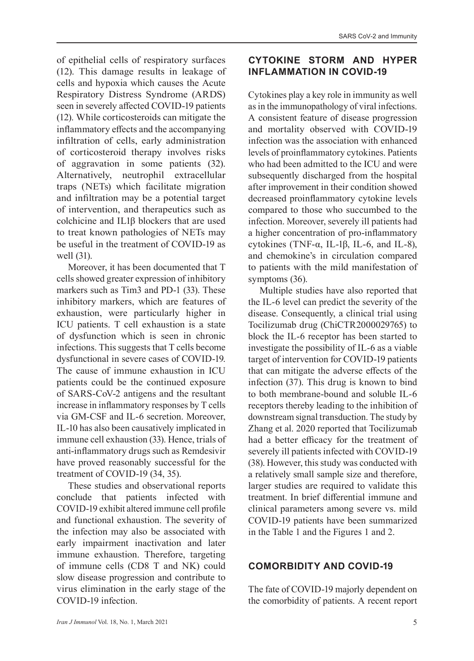of epithelial cells of respiratory surfaces (12). This damage results in leakage of cells and hypoxia which causes the Acute Respiratory Distress Syndrome (ARDS) seen in severely affected COVID-19 patients (12). While corticosteroids can mitigate the inflammatory effects and the accompanying infiltration of cells, early administration of corticosteroid therapy involves risks of aggravation in some patients (32). Alternatively, neutrophil extracellular traps (NETs) which facilitate migration and infiltration may be a potential target of intervention, and therapeutics such as colchicine and IL1β blockers that are used to treat known pathologies of NETs may be useful in the treatment of COVID-19 as well (31).

Moreover, it has been documented that T cells showed greater expression of inhibitory markers such as Tim3 and PD-1 (33). These inhibitory markers, which are features of exhaustion, were particularly higher in ICU patients. T cell exhaustion is a state of dysfunction which is seen in chronic infections. This suggests that T cells become dysfunctional in severe cases of COVID-19. The cause of immune exhaustion in ICU patients could be the continued exposure of SARS-CoV-2 antigens and the resultant increase in inflammatory responses by T cells via GM-CSF and IL-6 secretion. Moreover, IL-10 has also been causatively implicated in immune cell exhaustion (33). Hence, trials of anti-inflammatory drugs such as Remdesivir have proved reasonably successful for the treatment of COVID-19 (34, 35).

These studies and observational reports conclude that patients infected with COVID-19 exhibit altered immune cell profile and functional exhaustion. The severity of the infection may also be associated with early impairment inactivation and later immune exhaustion. Therefore, targeting of immune cells (CD8 T and NK) could slow disease progression and contribute to virus elimination in the early stage of the COVID-19 infection.

# **CYTOKINE STORM AND HYPER INFLAMMATION IN COVID-19**

Cytokines play a key role in immunity as well as in the immunopathology of viral infections. A consistent feature of disease progression and mortality observed with COVID-19 infection was the association with enhanced levels of proinflammatory cytokines. Patients who had been admitted to the ICU and were subsequently discharged from the hospital after improvement in their condition showed decreased proinflammatory cytokine levels compared to those who succumbed to the infection. Moreover, severely ill patients had a higher concentration of pro-inflammatory cytokines (TNF-α, IL-1β, IL-6, and IL-8), and chemokine's in circulation compared to patients with the mild manifestation of symptoms (36).

Multiple studies have also reported that the IL-6 level can predict the severity of the disease. Consequently, a clinical trial using Tocilizumab drug (ChiCTR2000029765) to block the IL-6 receptor has been started to investigate the possibility of IL-6 as a viable target of intervention for COVID-19 patients that can mitigate the adverse effects of the infection (37). This drug is known to bind to both membrane-bound and soluble IL-6 receptors thereby leading to the inhibition of downstream signal transduction. The study by Zhang et al. 2020 reported that Tocilizumab had a better efficacy for the treatment of severely ill patients infected with COVID-19 (38). However, this study was conducted with a relatively small sample size and therefore, larger studies are required to validate this treatment. In brief differential immune and clinical parameters among severe vs. mild COVID-19 patients have been summarized in the Table 1 and the Figures 1 and 2.

# **COMORBIDITY AND COVID-19**

The fate of COVID-19 majorly dependent on the comorbidity of patients. A recent report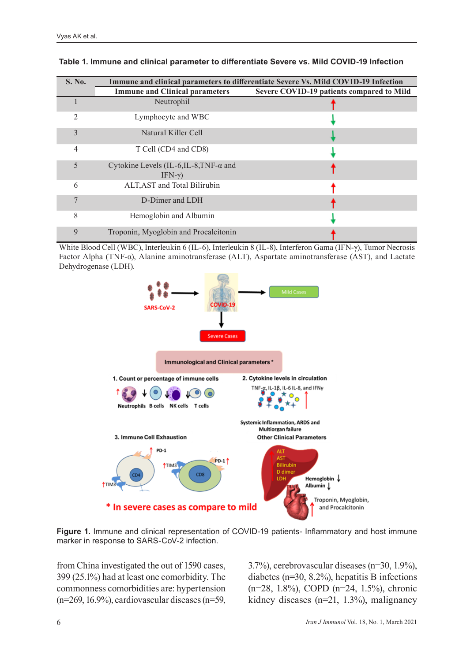| <b>S. No.</b>  | Immune and clinical parameters to differentiate Severe Vs. Mild COVID-19 Infection |                                           |
|----------------|------------------------------------------------------------------------------------|-------------------------------------------|
|                | <b>Immune and Clinical parameters</b>                                              | Severe COVID-19 patients compared to Mild |
|                | Neutrophil                                                                         |                                           |
| $\mathfrak{D}$ | Lymphocyte and WBC                                                                 |                                           |
| 3              | Natural Killer Cell                                                                |                                           |
| 4              | T Cell (CD4 and CD8)                                                               |                                           |
| 5              | Cytokine Levels (IL-6, IL-8, TNF- $\alpha$ and<br>IFN- $\gamma$ )                  |                                           |
| 6              | ALT, AST and Total Bilirubin                                                       |                                           |
|                | D-Dimer and LDH                                                                    |                                           |
| 8              | Hemoglobin and Albumin                                                             |                                           |
| 9              | Troponin, Myoglobin and Procalcitonin                                              |                                           |

#### **Table 1. Immune and clinical parameter to differentiate Severe vs. Mild COVID-19 Infection**

White Blood Cell (WBC), Interleukin 6 (IL-6), Interleukin 8 (IL-8), Interferon Gama (IFN-γ), Tumor Necrosis Factor Alpha (TNF-α), Alanine aminotransferase (ALT), Aspartate aminotransferase (AST), and Lactate Dehydrogenase (LDH).



**Figure 1.** Immune and clinical representation of COVID-19 patients- Inflammatory and host immune marker in response to SARS-CoV-2 infection.

from China investigated the out of 1590 cases, 399 (25.1%) had at least one comorbidity. The commonness comorbidities are: hypertension (n=269, 16.9%), cardiovascular diseases (n=59, 3.7%), cerebrovascular diseases (n=30, 1.9%), diabetes (n=30, 8.2%), hepatitis B infections (n=28, 1.8%), COPD (n=24, 1.5%), chronic kidney diseases (n=21, 1.3%), malignancy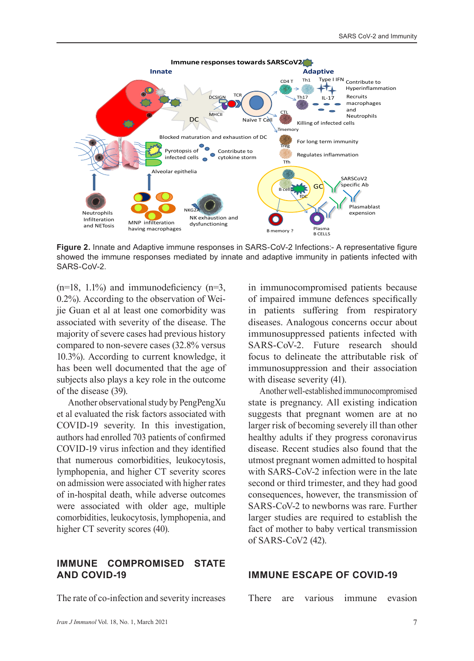

**Figure 2.** Innate and Adaptive immune responses in SARS-CoV-2 Infections:- A representative figure showed the immune responses mediated by innate and adaptive immunity in patients infected with SARS-CoV-2.

 $(n=18, 1.1%)$  and immunodeficiency  $(n=3, 1.1%)$ 0.2%). According to the observation of Weijie Guan et al at least one comorbidity was associated with severity of the disease. The majority of severe cases had previous history compared to non-severe cases (32.8% versus 10.3%). According to current knowledge, it has been well documented that the age of subjects also plays a key role in the outcome of the disease (39).

Another observational study by PengPengXu et al evaluated the risk factors associated with COVID-19 severity. In this investigation, authors had enrolled 703 patients of confirmed COVID-19 virus infection and they identified that numerous comorbidities, leukocytosis, lymphopenia, and higher CT severity scores on admission were associated with higher rates of in-hospital death, while adverse outcomes were associated with older age, multiple comorbidities, leukocytosis, lymphopenia, and higher CT severity scores (40).

#### **IMMUNE COMPROMISED STATE AND COVID-19**

The rate of co-infection and severity increases

in immunocompromised patients because of impaired immune defences specifically in patients suffering from respiratory diseases. Analogous concerns occur about immunosuppressed patients infected with SARS-CoV-2. Future research should focus to delineate the attributable risk of immunosuppression and their association with disease severity (41).

Another well-established immunocompromised state is pregnancy. All existing indication suggests that pregnant women are at no larger risk of becoming severely ill than other healthy adults if they progress coronavirus disease. Recent studies also found that the utmost pregnant women admitted to hospital with SARS-CoV-2 infection were in the late second or third trimester, and they had good consequences, however, the transmission of SARS-CoV-2 to newborns was rare. Further larger studies are required to establish the fact of mother to baby vertical transmission of SARS-CoV2 (42).

#### **IMMUNE ESCAPE OF COVID-19**

There are various immune evasion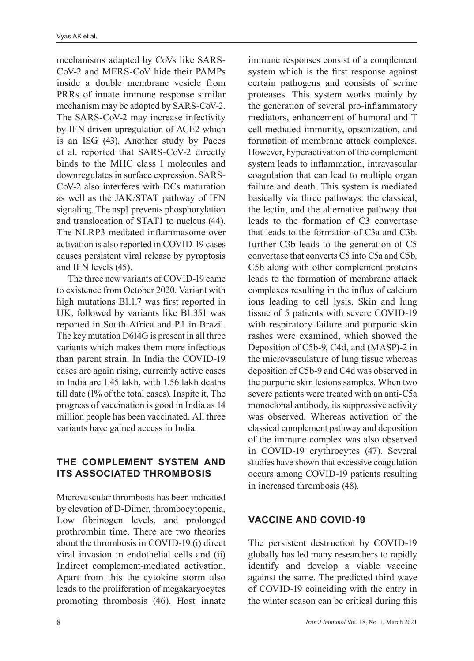mechanisms adapted by CoVs like SARS-CoV-2 and MERS-CoV hide their PAMPs inside a double membrane vesicle from PRRs of innate immune response similar mechanism may be adopted by SARS-CoV-2. The SARS-CoV-2 may increase infectivity by IFN driven upregulation of ACE2 which is an ISG (43). Another study by Paces et al. reported that SARS-CoV-2 directly binds to the MHC class I molecules and downregulates in surface expression. SARS-CoV-2 also interferes with DCs maturation as well as the JAK/STAT pathway of IFN signaling. The nsp1 prevents phosphorylation and translocation of STAT1 to nucleus (44). The NLRP3 mediated inflammasome over activation is also reported in COVID-19 cases causes persistent viral release by pyroptosis and IFN levels (45).

The three new variants of COVID-19 came to existence from October 2020. Variant with high mutations B1.1.7 was first reported in UK, followed by variants like B1.351 was reported in South Africa and P.1 in Brazil. The key mutation D614G is present in all three variants which makes them more infectious than parent strain. In India the COVID-19 cases are again rising, currently active cases in India are 1.45 lakh, with 1.56 lakh deaths till date (1% of the total cases). Inspite it, The progress of vaccination is good in India as 14 million people has been vaccinated. All three variants have gained access in India.

# **THE COMPLEMENT SYSTEM AND ITS ASSOCIATED THROMBOSIS**

Microvascular thrombosis has been indicated by elevation of D-Dimer, thrombocytopenia, Low fibrinogen levels, and prolonged prothrombin time. There are two theories about the thrombosis in COVID-19 (i) direct viral invasion in endothelial cells and (ii) Indirect complement-mediated activation. Apart from this the cytokine storm also leads to the proliferation of megakaryocytes promoting thrombosis (46). Host innate

immune responses consist of a complement system which is the first response against certain pathogens and consists of serine proteases. This system works mainly by the generation of several pro-inflammatory mediators, enhancement of humoral and T cell-mediated immunity, opsonization, and formation of membrane attack complexes. However, hyperactivation of the complement system leads to inflammation, intravascular coagulation that can lead to multiple organ failure and death. This system is mediated basically via three pathways: the classical, the lectin, and the alternative pathway that leads to the formation of C3 convertase that leads to the formation of C3a and C3b. further C3b leads to the generation of C5 convertase that converts C5 into C5a and C5b. C5b along with other complement proteins leads to the formation of membrane attack complexes resulting in the influx of calcium ions leading to cell lysis. Skin and lung tissue of 5 patients with severe COVID-19 with respiratory failure and purpuric skin rashes were examined, which showed the Deposition of C5b-9, C4d, and (MASP)-2 in the microvasculature of lung tissue whereas deposition of C5b-9 and C4d was observed in the purpuric skin lesions samples. When two severe patients were treated with an anti-C5a monoclonal antibody, its suppressive activity was observed. Whereas activation of the classical complement pathway and deposition of the immune complex was also observed in COVID-19 erythrocytes (47). Several studies have shown that excessive coagulation occurs among COVID-19 patients resulting in increased thrombosis (48).

# **VACCINE AND COVID-19**

The persistent destruction by COVID-19 globally has led many researchers to rapidly identify and develop a viable vaccine against the same. The predicted third wave of COVID-19 coinciding with the entry in the winter season can be critical during this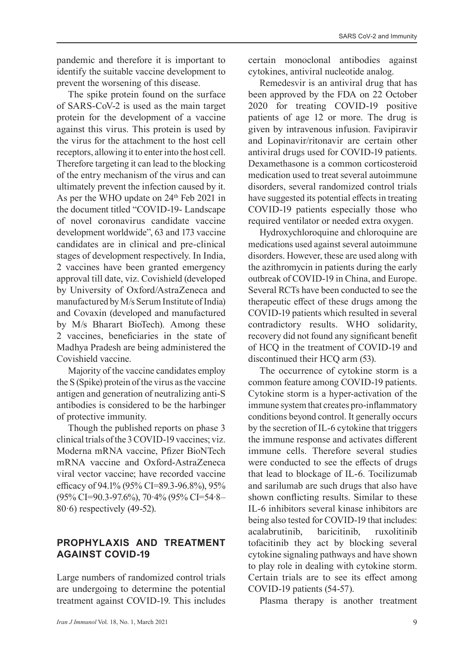pandemic and therefore it is important to identify the suitable vaccine development to prevent the worsening of this disease.

The spike protein found on the surface of SARS-CoV-2 is used as the main target protein for the development of a vaccine against this virus. This protein is used by the virus for the attachment to the host cell receptors, allowing it to enter into the host cell. Therefore targeting it can lead to the blocking of the entry mechanism of the virus and can ultimately prevent the infection caused by it. As per the WHO update on 24<sup>th</sup> Feb 2021 in the document titled "COVID-19- Landscape of novel coronavirus candidate vaccine development worldwide", 63 and 173 vaccine candidates are in clinical and pre-clinical stages of development respectively. In India, 2 vaccines have been granted emergency approval till date, viz. Covishield (developed by University of Oxford/AstraZeneca and manufactured by M/s Serum Institute of India) and Covaxin (developed and manufactured by M/s Bharart BioTech). Among these 2 vaccines, beneficiaries in the state of Madhya Pradesh are being administered the Covishield vaccine.

Majority of the vaccine candidates employ the S (Spike) protein of the virus as the vaccine antigen and generation of neutralizing anti-S antibodies is considered to be the harbinger of protective immunity.

Though the published reports on phase 3 clinical trials of the 3 COVID-19 vaccines; viz. Moderna mRNA vaccine, Pfizer BioNTech mRNA vaccine and Oxford-AstraZeneca viral vector vaccine; have recorded vaccine efficacy of 94.1% (95% CI=89.3-96.8%), 95% (95% CI=90.3-97.6%), 70·4% (95% CI=54·8– 80·6) respectively (49-52).

## **PROPHYLAXIS AND TREATMENT AGAINST COVID-19**

Large numbers of randomized control trials are undergoing to determine the potential treatment against COVID-19. This includes

Remedesvir is an antiviral drug that has been approved by the FDA on 22 October 2020 for treating COVID-19 positive patients of age 12 or more. The drug is given by intravenous infusion. Favipiravir and Lopinavir/ritonavir are certain other antiviral drugs used for COVID-19 patients. Dexamethasone is a common corticosteroid medication used to treat several autoimmune disorders, several randomized control trials have suggested its potential effects in treating COVID-19 patients especially those who required ventilator or needed extra oxygen.

Hydroxychloroquine and chloroquine are medications used against several autoimmune disorders. However, these are used along with the azithromycin in patients during the early outbreak of COVID-19 in China, and Europe. Several RCTs have been conducted to see the therapeutic effect of these drugs among the COVID-19 patients which resulted in several contradictory results. WHO solidarity, recovery did not found any significant benefit of HCQ in the treatment of COVID-19 and discontinued their HCQ arm (53).

The occurrence of cytokine storm is a common feature among COVID-19 patients. Cytokine storm is a hyper-activation of the immune system that creates pro-inflammatory conditions beyond control. It generally occurs by the secretion of IL-6 cytokine that triggers the immune response and activates different immune cells. Therefore several studies were conducted to see the effects of drugs that lead to blockage of IL-6. Tocilizumab and sarilumab are such drugs that also have shown conflicting results. Similar to these IL-6 inhibitors several kinase inhibitors are being also tested for COVID-19 that includes: acalabrutinib, baricitinib, ruxolitinib tofacitinib they act by blocking several cytokine signaling pathways and have shown to play role in dealing with cytokine storm. Certain trials are to see its effect among COVID-19 patients (54-57).

Plasma therapy is another treatment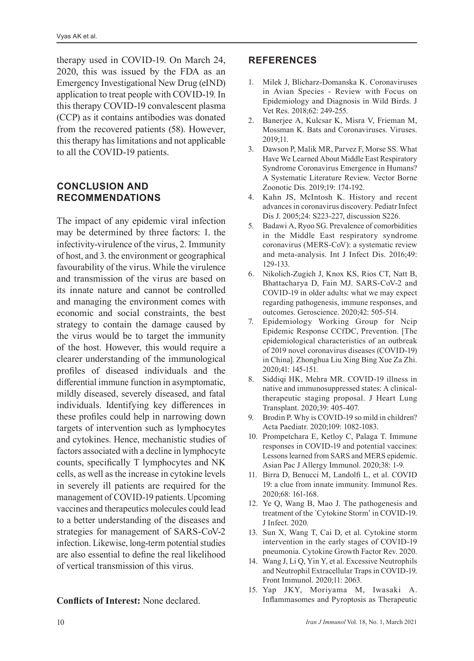therapy used in COVID-19. On March 24, 2020, this was issued by the FDA as an Emergency Investigational New Drug (eIND) application to treat people with COVID-19. In this therapy COVID-19 convalescent plasma (CCP) as it contains antibodies was donated from the recovered patients (58). However, this therapy has limitations and not applicable to all the COVID-19 patients.

#### **CONCLUSION AND RECOMMENDATIONS**

The impact of any epidemic viral infection may be determined by three factors: 1. the infectivity-virulence of the virus, 2. Immunity of host, and 3. the environment or geographical favourability of the virus. While the virulence and transmission of the virus are based on its innate nature and cannot be controlled and managing the environment comes with economic and social constraints, the best strategy to contain the damage caused by the virus would be to target the immunity of the host. However, this would require a clearer understanding of the immunological profiles of diseased individuals and the differential immune function in asymptomatic, mildly diseased, severely diseased, and fatal individuals. Identifying key differences in these profiles could help in narrowing down targets of intervention such as lymphocytes and cytokines. Hence, mechanistic studies of factors associated with a decline in lymphocyte counts, specifically T lymphocytes and NK cells, as well as the increase in cytokine levels in severely ill patients are required for the management of COVID-19 patients. Upcoming vaccines and therapeutics molecules could lead to a better understanding of the diseases and strategies for management of SARS-CoV-2 infection. Likewise, long-term potential studies are also essential to define the real likelihood of vertical transmission of this virus.

#### **Conflicts of Interest:** None declared.

#### **REFERENCES**

- 1. Milek J, Blicharz-Domanska K. Coronaviruses in Avian Species - Review with Focus on Epidemiology and Diagnosis in Wild Birds. J Vet Res. 2018;62: 249-255.
- 2. Banerjee A, Kulcsar K, Misra V, Frieman M, Mossman K. Bats and Coronaviruses. Viruses. 2019;11.
- 3. Dawson P, Malik MR, Parvez F, Morse SS. What Have We Learned About Middle East Respiratory Syndrome Coronavirus Emergence in Humans? A Systematic Literature Review. Vector Borne Zoonotic Dis. 2019;19: 174-192.
- 4. Kahn JS, McIntosh K. History and recent advances in coronavirus discovery. Pediatr Infect Dis J. 2005;24: S223-227, discussion S226.
- 5. Badawi A, Ryoo SG. Prevalence of comorbidities in the Middle East respiratory syndrome coronavirus (MERS-CoV): a systematic review and meta-analysis. Int J Infect Dis. 2016;49: 129-133.
- 6. Nikolich-Zugich J, Knox KS, Rios CT, Natt B, Bhattacharya D, Fain MJ. SARS-CoV-2 and COVID-19 in older adults: what we may expect regarding pathogenesis, immune responses, and outcomes. Geroscience. 2020;42: 505-514.
- 7. Epidemiology Working Group for Ncip Epidemic Response CCfDC, Prevention. [The epidemiological characteristics of an outbreak of 2019 novel coronavirus diseases (COVID-19) in China]. Zhonghua Liu Xing Bing Xue Za Zhi. 2020;41: 145-151.
- 8. Siddiqi HK, Mehra MR. COVID-19 illness in native and immunosuppressed states: A clinicaltherapeutic staging proposal. J Heart Lung Transplant. 2020;39: 405-407.
- 9. Brodin P. Why is COVID-19 so mild in children? Acta Paediatr. 2020;109: 1082-1083.
- 10. Prompetchara E, Ketloy C, Palaga T. Immune responses in COVID-19 and potential vaccines: Lessons learned from SARS and MERS epidemic. Asian Pac J Allergy Immunol. 2020;38: 1-9.
- 11. Birra D, Benucci M, Landolfi L, et al. COVID 19: a clue from innate immunity. Immunol Res. 2020;68: 161-168.
- 12. Ye Q, Wang B, Mao J. The pathogenesis and treatment of the `Cytokine Storm' in COVID-19. J Infect. 2020.
- 13. Sun X, Wang T, Cai D, et al. Cytokine storm intervention in the early stages of COVID-19 pneumonia. Cytokine Growth Factor Rev. 2020.
- 14. Wang J, Li Q, Yin Y, et al. Excessive Neutrophils and Neutrophil Extracellular Traps in COVID-19. Front Immunol. 2020;11: 2063.
- 15. Yap JKY, Moriyama M, Iwasaki A. Inflammasomes and Pyroptosis as Therapeutic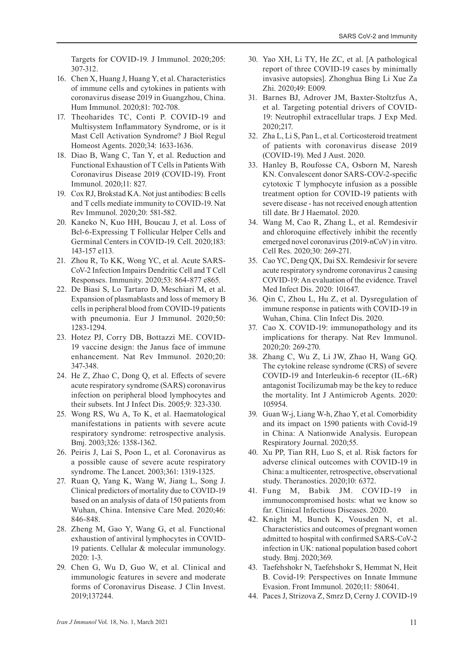Targets for COVID-19. J Immunol. 2020;205: 307-312.

- 16. Chen X, Huang J, Huang Y, et al. Characteristics of immune cells and cytokines in patients with coronavirus disease 2019 in Guangzhou, China. Hum Immunol. 2020;81: 702-708.
- 17. Theoharides TC, Conti P. COVID-19 and Multisystem Inflammatory Syndrome, or is it Mast Cell Activation Syndrome? J Biol Regul Homeost Agents. 2020;34: 1633-1636.
- 18. Diao B, Wang C, Tan Y, et al. Reduction and Functional Exhaustion of T Cells in Patients With Coronavirus Disease 2019 (COVID-19). Front Immunol. 2020;11: 827.
- 19. Cox RJ, Brokstad KA. Not just antibodies: B cells and T cells mediate immunity to COVID-19. Nat Rev Immunol. 2020;20: 581-582.
- 20. Kaneko N, Kuo HH, Boucau J, et al. Loss of Bcl-6-Expressing T Follicular Helper Cells and Germinal Centers in COVID-19. Cell. 2020;183: 143-157 e113.
- 21. Zhou R, To KK, Wong YC, et al. Acute SARS-CoV-2 Infection Impairs Dendritic Cell and T Cell Responses. Immunity. 2020;53: 864-877 e865.
- 22. De Biasi S, Lo Tartaro D, Meschiari M, et al. Expansion of plasmablasts and loss of memory B cells in peripheral blood from COVID-19 patients with pneumonia. Eur J Immunol. 2020;50: 1283-1294.
- 23. Hotez PJ, Corry DB, Bottazzi ME. COVID-19 vaccine design: the Janus face of immune enhancement. Nat Rev Immunol. 2020;20: 347-348.
- 24. He Z, Zhao C, Dong Q, et al. Effects of severe acute respiratory syndrome (SARS) coronavirus infection on peripheral blood lymphocytes and their subsets. Int J Infect Dis. 2005;9: 323-330.
- 25. Wong RS, Wu A, To K, et al. Haematological manifestations in patients with severe acute respiratory syndrome: retrospective analysis. Bmj. 2003;326: 1358-1362.
- 26. Peiris J, Lai S, Poon L, et al. Coronavirus as a possible cause of severe acute respiratory syndrome. The Lancet. 2003;361: 1319-1325.
- 27. Ruan Q, Yang K, Wang W, Jiang L, Song J. Clinical predictors of mortality due to COVID-19 based on an analysis of data of 150 patients from Wuhan, China. Intensive Care Med. 2020;46: 846-848.
- 28. Zheng M, Gao Y, Wang G, et al. Functional exhaustion of antiviral lymphocytes in COVID-19 patients. Cellular & molecular immunology. 2020: 1-3.
- 29. Chen G, Wu D, Guo W, et al. Clinical and immunologic features in severe and moderate forms of Coronavirus Disease. J Clin Invest. 2019;137244.
- 30. Yao XH, Li TY, He ZC, et al. [A pathological report of three COVID-19 cases by minimally invasive autopsies]. Zhonghua Bing Li Xue Za Zhi. 2020;49: E009.
- 31. Barnes BJ, Adrover JM, Baxter-Stoltzfus A, et al. Targeting potential drivers of COVID-19: Neutrophil extracellular traps. J Exp Med. 2020;217.
- 32. Zha L, Li S, Pan L, et al. Corticosteroid treatment of patients with coronavirus disease 2019 (COVID-19). Med J Aust. 2020.
- 33. Hanley B, Roufosse CA, Osborn M, Naresh KN. Convalescent donor SARS-COV-2-specific cytotoxic T lymphocyte infusion as a possible treatment option for COVID-19 patients with severe disease - has not received enough attention till date. Br J Haematol. 2020.
- 34. Wang M, Cao R, Zhang L, et al. Remdesivir and chloroquine effectively inhibit the recently emerged novel coronavirus (2019-nCoV) in vitro. Cell Res. 2020;30: 269-271.
- 35. Cao YC, Deng QX, Dai SX. Remdesivir for severe acute respiratory syndrome coronavirus 2 causing COVID-19: An evaluation of the evidence. Travel Med Infect Dis. 2020: 101647.
- 36. Qin C, Zhou L, Hu Z, et al. Dysregulation of immune response in patients with COVID-19 in Wuhan, China. Clin Infect Dis. 2020.
- 37. Cao X. COVID-19: immunopathology and its implications for therapy. Nat Rev Immunol. 2020;20: 269-270.
- 38. Zhang C, Wu Z, Li JW, Zhao H, Wang GQ. The cytokine release syndrome (CRS) of severe COVID-19 and Interleukin-6 receptor (IL-6R) antagonist Tocilizumab may be the key to reduce the mortality. Int J Antimicrob Agents. 2020: 105954.
- 39. Guan W-j, Liang W-h, Zhao Y, et al. Comorbidity and its impact on 1590 patients with Covid-19 in China: A Nationwide Analysis. European Respiratory Journal. 2020;55.
- 40. Xu PP, Tian RH, Luo S, et al. Risk factors for adverse clinical outcomes with COVID-19 in China: a multicenter, retrospective, observational study. Theranostics. 2020;10: 6372.
- 41. Fung M, Babik JM. COVID-19 in immunocompromised hosts: what we know so far. Clinical Infectious Diseases. 2020.
- 42. Knight M, Bunch K, Vousden N, et al. Characteristics and outcomes of pregnant women admitted to hospital with confirmed SARS-CoV-2 infection in UK: national population based cohort study. Bmj. 2020;369.
- 43. Taefehshokr N, Taefehshokr S, Hemmat N, Heit B. Covid-19: Perspectives on Innate Immune Evasion. Front Immunol. 2020;11: 580641.
- 44. Paces J, Strizova Z, Smrz D, Cerny J. COVID-19